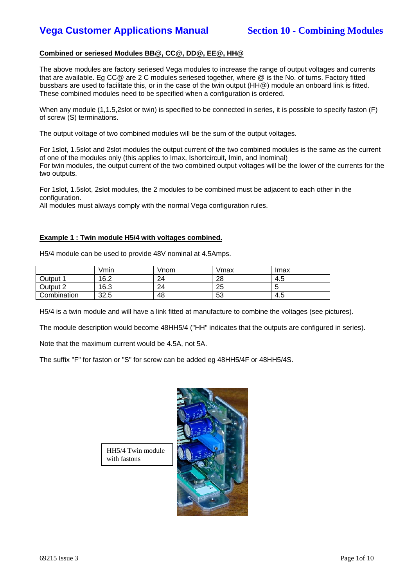## **Combined or seriesed Modules BB@, CC@, DD@, EE@, HH@**

The above modules are factory seriesed Vega modules to increase the range of output voltages and currents that are available. Eg CC@ are 2 C modules seriesed together, where @ is the No. of turns. Factory fitted bussbars are used to facilitate this, or in the case of the twin output (HH@) module an onboard link is fitted. These combined modules need to be specified when a configuration is ordered.

When any module (1,1.5,2slot or twin) is specified to be connected in series, it is possible to specify faston (F) of screw (S) terminations.

The output voltage of two combined modules will be the sum of the output voltages.

For 1slot, 1.5slot and 2slot modules the output current of the two combined modules is the same as the current of one of the modules only (this applies to Imax, Ishortcircuit, Imin, and Inominal) For twin modules, the output current of the two combined output voltages will be the lower of the currents for the two outputs.

For 1slot, 1.5slot, 2slot modules, the 2 modules to be combined must be adjacent to each other in the configuration.

All modules must always comply with the normal Vega configuration rules.

### **Example 1 : Twin module H5/4 with voltages combined.**

H5/4 module can be used to provide 48V nominal at 4.5Amps.

|             | Vmin | Vnom | Vmax | Imax |
|-------------|------|------|------|------|
| Output 1    | 16.2 | 24   | 28   | 4.5  |
| Output 2    | 16.3 | 24   | 25   |      |
| Combination | 32.5 | 48   | 53   | 4.5  |

H5/4 is a twin module and will have a link fitted at manufacture to combine the voltages (see pictures).

The module description would become 48HH5/4 ("HH" indicates that the outputs are configured in series).

Note that the maximum current would be 4.5A, not 5A.

The suffix "F" for faston or "S" for screw can be added eg 48HH5/4F or 48HH5/4S.



HH5/4 Twin module with fastons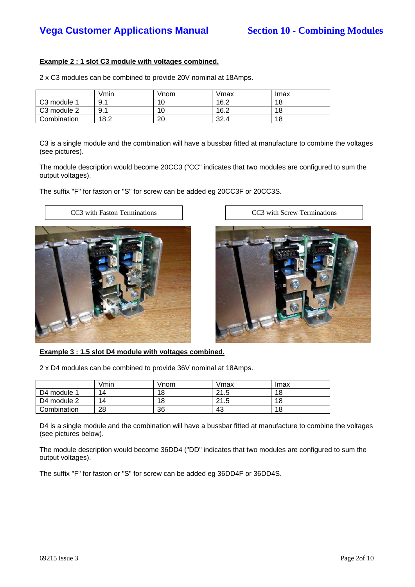## **Example 2 : 1 slot C3 module with voltages combined.**

2 x C3 modules can be combined to provide 20V nominal at 18Amps.

|                         | Vmin | √nom | Vmax | Imax |
|-------------------------|------|------|------|------|
| C <sub>3</sub> module 1 | 9.1  | 10   | 16.2 | 18   |
| C3 module 2             | 9.1  | 10   | 16.2 | 18   |
| Combination             | 18.2 | 20   | 32.4 | 18   |

C3 is a single module and the combination will have a bussbar fitted at manufacture to combine the voltages (see pictures).

The module description would become 20CC3 ("CC" indicates that two modules are configured to sum the output voltages).

The suffix "F" for faston or "S" for screw can be added eg 20CC3F or 20CC3S.





**Example 3 : 1.5 slot D4 module with voltages combined.**

2 x D4 modules can be combined to provide 36V nominal at 18Amps.

|             | Vmin | Vnom | Vmax | Imax |
|-------------|------|------|------|------|
| D4 module 1 | 14   | 18   | 21.5 | 18   |
| D4 module 2 | 14   | 18   | 21.5 | 18   |
| Combination | 28   | 36   | 43   | 18   |

D4 is a single module and the combination will have a bussbar fitted at manufacture to combine the voltages (see pictures below).

The module description would become 36DD4 ("DD" indicates that two modules are configured to sum the output voltages).

The suffix "F" for faston or "S" for screw can be added eg 36DD4F or 36DD4S.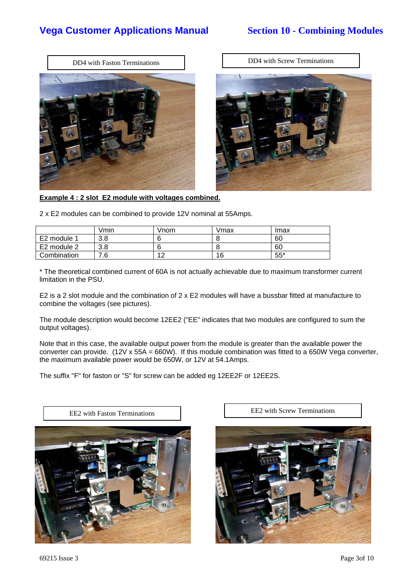



**Example 4 : 2 slot E2 module with voltages combined.**

2 x E2 modules can be combined to provide 12V nominal at 55Amps.

|             | Vmin | Vnom | Vmax | Imax  |
|-------------|------|------|------|-------|
| E2 module 1 | 3.8  |      |      | 60    |
| E2 module 2 | 3.8  |      |      | 60    |
| Combination | .6   | 10   | 16   | $55*$ |

\* The theoretical combined current of 60A is not actually achievable due to maximum transformer current limitation in the PSU.

E2 is a 2 slot module and the combination of 2 x E2 modules will have a bussbar fitted at manufacture to combine the voltages (see pictures).

The module description would become 12EE2 ("EE" indicates that two modules are configured to sum the output voltages).

Note that in this case, the available output power from the module is greater than the available power the converter can provide. (12V x 55A = 660W). If this module combination was fitted to a 650W Vega converter, the maximum available power would be 650W, or 12V at 54.1Amps.

The suffix "F" for faston or "S" for screw can be added eg 12EE2F or 12EE2S.



EE2 with Faston Terminations EE2 with Screw Terminations



69215 Issue 3 Page 3of 10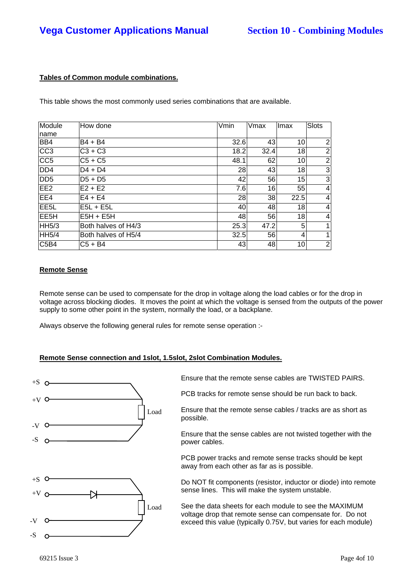## **Tables of Common module combinations.**

This table shows the most commonly used series combinations that are available.

| Module<br>name    | How done            | Vmin | Vmax | <b>Imax</b> | <b>Slots</b>   |
|-------------------|---------------------|------|------|-------------|----------------|
| BB4               | $B4 + B4$           | 32.6 | 43   | 10          | 2              |
| CC <sub>3</sub>   | $C3 + C3$           | 18.2 | 32.4 | 18          | $\overline{2}$ |
| CC <sub>5</sub>   | $C5 + C5$           | 48.1 | 62   | 10          | $\overline{2}$ |
| DD <sub>4</sub>   | $D4 + D4$           | 28   | 43   | 18          | 3              |
| DD <sub>5</sub>   | $D5 + D5$           | 42   | 56   | 15          | 3              |
| EE <sub>2</sub>   | $E2 + E2$           | 7.6  | 16   | 55          | 4              |
| EE4               | $E4 + E4$           | 28   | 38   | 22.5        | 4              |
| EE <sub>5</sub> L | $E5L + E5L$         | 40   | 48   | 18          | 4              |
| EE <sub>5</sub> H | $E5H + E5H$         | 48   | 56   | 18          | $\overline{4}$ |
| <b>HH5/3</b>      | Both halves of H4/3 | 25.3 | 47.2 | 5           |                |
| <b>HH5/4</b>      | Both halves of H5/4 | 32.5 | 56   | 4           |                |
| C5B4              | $C5 + B4$           | 43   | 48   | 10          | $\overline{2}$ |

### **Remote Sense**

Remote sense can be used to compensate for the drop in voltage along the load cables or for the drop in voltage across blocking diodes. It moves the point at which the voltage is sensed from the outputs of the power supply to some other point in the system, normally the load, or a backplane.

Always observe the following general rules for remote sense operation :-

### **Remote Sense connection and 1slot, 1.5slot, 2slot Combination Modules.**



Ensure that the remote sense cables are TWISTED PAIRS.

PCB tracks for remote sense should be run back to back.

Ensure that the remote sense cables / tracks are as short as possible.

Ensure that the sense cables are not twisted together with the power cables.

PCB power tracks and remote sense tracks should be kept away from each other as far as is possible.

Do NOT fit components (resistor, inductor or diode) into remote sense lines. This will make the system unstable.

See the data sheets for each module to see the MAXIMUM voltage drop that remote sense can compensate for. Do not exceed this value (typically 0.75V, but varies for each module)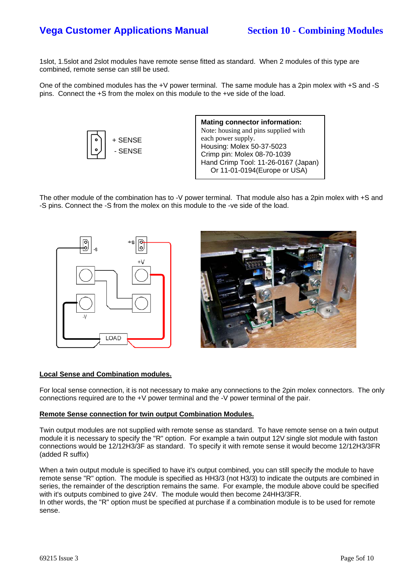1slot, 1.5slot and 2slot modules have remote sense fitted as standard. When 2 modules of this type are combined, remote sense can still be used.

One of the combined modules has the +V power terminal. The same module has a 2pin molex with +S and -S pins. Connect the +S from the molex on this module to the +ve side of the load.



**Mating connector information:** Note: housing and pins supplied with each power supply. Housing: Molex 50-37-5023 Crimp pin: Molex 08-70-1039 Hand Crimp Tool: 11-26-0167 (Japan) Or 11-01-0194(Europe or USA)

The other module of the combination has to -V power terminal. That module also has a 2pin molex with +S and -S pins. Connect the -S from the molex on this module to the -ve side of the load.



### **Local Sense and Combination modules.**

For local sense connection, it is not necessary to make any connections to the 2pin molex connectors. The only connections required are to the +V power terminal and the -V power terminal of the pair.

### **Remote Sense connection for twin output Combination Modules.**

Twin output modules are not supplied with remote sense as standard. To have remote sense on a twin output module it is necessary to specify the "R" option. For example a twin output 12V single slot module with faston connections would be 12/12H3/3F as standard. To specify it with remote sense it would become 12/12H3/3FR (added R suffix)

When a twin output module is specified to have it's output combined, you can still specify the module to have remote sense "R" option. The module is specified as HH3/3 (not H3/3) to indicate the outputs are combined in series, the remainder of the description remains the same. For example, the module above could be specified with it's outputs combined to give 24V. The module would then become 24HH3/3FR.

In other words, the "R" option must be specified at purchase if a combination module is to be used for remote sense.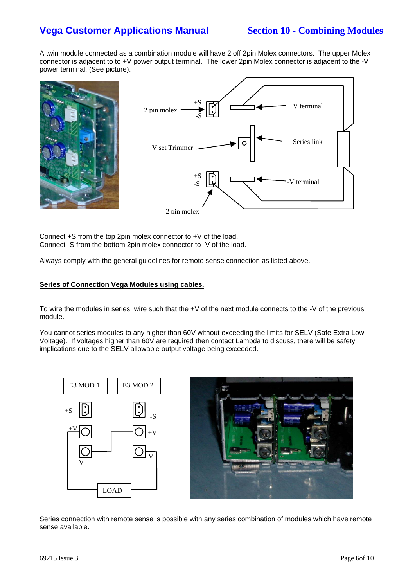A twin module connected as a combination module will have 2 off 2pin Molex connectors. The upper Molex connector is adjacent to to +V power output terminal. The lower 2pin Molex connector is adjacent to the -V power terminal. (See picture).



Connect +S from the top 2pin molex connector to +V of the load. Connect -S from the bottom 2pin molex connector to -V of the load.

Always comply with the general guidelines for remote sense connection as listed above.

### **Series of Connection Vega Modules using cables.**

To wire the modules in series, wire such that the +V of the next module connects to the -V of the previous module.

You cannot series modules to any higher than 60V without exceeding the limits for SELV (Safe Extra Low Voltage). If voltages higher than 60V are required then contact Lambda to discuss, there will be safety implications due to the SELV allowable output voltage being exceeded.





Series connection with remote sense is possible with any series combination of modules which have remote sense available.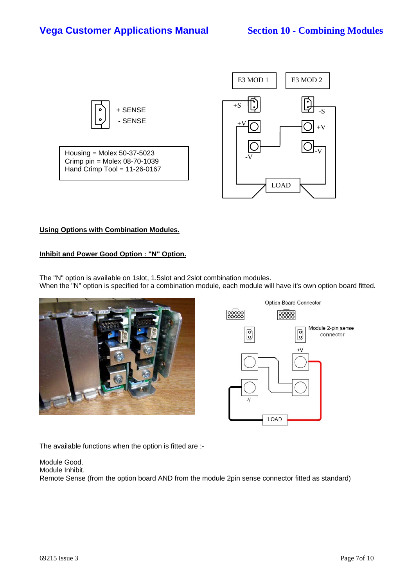

## **Using Options with Combination Modules.**

### **Inhibit and Power Good Option : "N" Option.**

The "N" option is available on 1slot, 1.5slot and 2slot combination modules. When the "N" option is specified for a combination module, each module will have it's own option board fitted.





The available functions when the option is fitted are :-

Module Good. Module Inhibit. Remote Sense (from the option board AND from the module 2pin sense connector fitted as standard)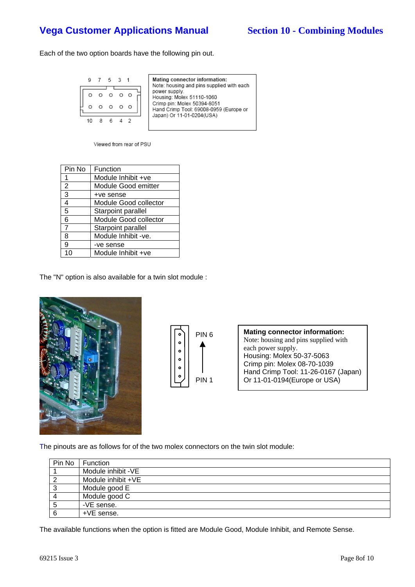Each of the two option boards have the following pin out.

|  |  | 5 3 1 |  | Mating connector information:<br>Note: housing and pins supplied with each |
|--|--|-------|--|----------------------------------------------------------------------------|
|  |  |       |  | power supply.                                                              |
|  |  |       |  | Housing: Molex 51110-1060                                                  |
|  |  |       |  | Crimp pin: Molex 50394-8051<br>Hand Crimp Tool: 69008-0959 (Europe or      |
|  |  |       |  | Japan) Or 11-01-0204(USA)                                                  |
|  |  |       |  |                                                                            |
|  |  |       |  |                                                                            |

Viewed from rear of PSU

| Pin No         | Function              |
|----------------|-----------------------|
| 1              | Module Inhibit +ve    |
| 2              | Module Good emitter   |
| 3              | +ve sense             |
| 4              | Module Good collector |
| 5              | Starpoint parallel    |
| 6              | Module Good collector |
| $\overline{7}$ | Starpoint parallel    |
| 8              | Module Inhibit -ve.   |
| 9              | -ve sense             |
|                | Module Inhibit +ve    |

The "N" option is also available for a twin slot module :





**Mating connector information:** Note: housing and pins supplied with each power supply. Housing: Molex 50-37-5063 Crimp pin: Molex 08-70-1039 Hand Crimp Tool: 11-26-0167 (Japan) Or 11-01-0194(Europe or USA)

The pinouts are as follows for of the two molex connectors on the twin slot module:

| Pin No         | <b>Function</b>    |
|----------------|--------------------|
|                | Module inhibit -VE |
| $\overline{2}$ | Module inhibit +VE |
| $\mathbf{3}$   | Module good E      |
| $\overline{4}$ | Module good C      |
| 5              | -VE sense.         |
| 6              | +VE sense.         |

The available functions when the option is fitted are Module Good, Module Inhibit, and Remote Sense.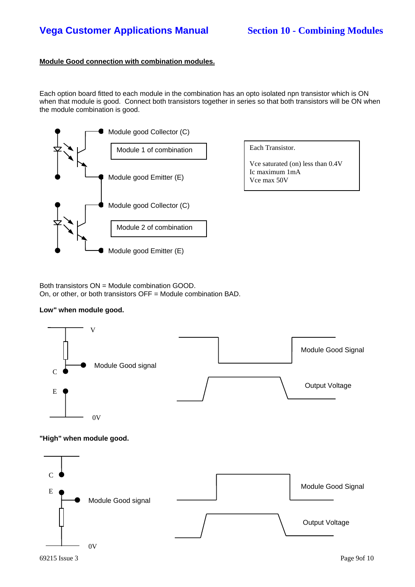## **Module Good connection with combination modules.**

Each option board fitted to each module in the combination has an opto isolated npn transistor which is ON when that module is good. Connect both transistors together in series so that both transistors will be ON when the module combination is good.





Both transistors ON = Module combination GOOD. On, or other, or both transistors OFF = Module combination BAD.

### **Low" when module good.**



**"High" when module good.**